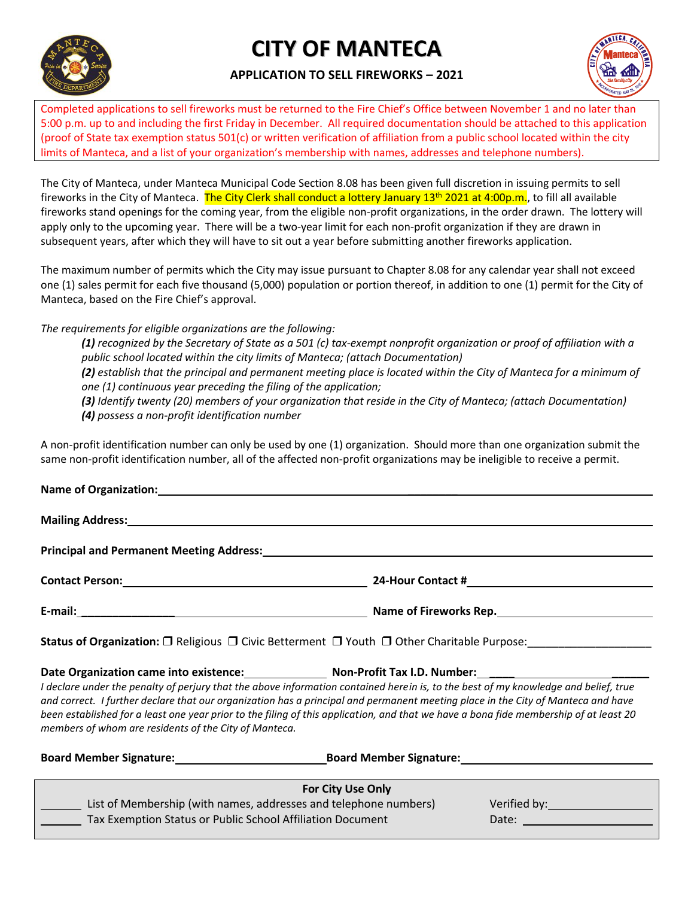

# **CITY OF MANTECA**

## **APPLICATION TO SELL FIREWORKS – 2021**



Completed applications to sell fireworks must be returned to the Fire Chief's Office between November 1 and no later than 5:00 p.m. up to and including the first Friday in December. All required documentation should be attached to this application (proof of State tax exemption status 501(c) or written verification of affiliation from a public school located within the city limits of Manteca, and a list of your organization's membership with names, addresses and telephone numbers).

The City of Manteca, under Manteca Municipal Code Section 8.08 has been given full discretion in issuing permits to sell fireworks in the City of Manteca. The City Clerk shall conduct a lottery January 13<sup>th</sup> 2021 at 4:00p.m., to fill all available fireworks stand openings for the coming year, from the eligible non-profit organizations, in the order drawn. The lottery will apply only to the upcoming year. There will be a two-year limit for each non-profit organization if they are drawn in subsequent years, after which they will have to sit out a year before submitting another fireworks application.

The maximum number of permits which the City may issue pursuant to Chapter 8.08 for any calendar year shall not exceed one (1) sales permit for each five thousand (5,000) population or portion thereof, in addition to one (1) permit for the City of Manteca, based on the Fire Chief's approval.

*The requirements for eligible organizations are the following:* 

*(1) recognized by the Secretary of State as a 501 (c) tax-exempt nonprofit organization or proof of affiliation with a public school located within the city limits of Manteca; (attach Documentation) (2) establish that the principal and permanent meeting place is located within the City of Manteca for a minimum of one (1) continuous year preceding the filing of the application; (3) Identify twenty (20) members of your organization that reside in the City of Manteca; (attach Documentation)*

*(4) possess a non-profit identification number*

A non-profit identification number can only be used by one (1) organization. Should more than one organization submit the same non-profit identification number, all of the affected non-profit organizations may be ineligible to receive a permit.

| Principal and Permanent Meeting Address:<br><u>Principal and Permanent Meeting Address:</u>                                       |                        |  |  |
|-----------------------------------------------------------------------------------------------------------------------------------|------------------------|--|--|
|                                                                                                                                   |                        |  |  |
|                                                                                                                                   | Name of Fireworks Rep. |  |  |
| <b>Status of Organization:</b> $\square$ Religious $\square$ Civic Betterment $\square$ Youth $\square$ Other Charitable Purpose: |                        |  |  |

**Date Organization came into existence: Non-Profit Tax I.D. Number: \_\_\_\_ \_\_\_\_\_\_** *I declare under the penalty of perjury that the above information contained herein is, to the best of my knowledge and belief, true and correct. I further declare that our organization has a principal and permanent meeting place in the City of Manteca and have been established for a least one year prior to the filing of this application, and that we have a bona fide membership of at least 20 members of whom are residents of the City of Manteca.*

| <b>Board Member Signature:</b>                             | <b>Board Member Signature:</b>                                   |              |  |
|------------------------------------------------------------|------------------------------------------------------------------|--------------|--|
|                                                            | <b>For City Use Only</b>                                         |              |  |
|                                                            | List of Membership (with names, addresses and telephone numbers) | Verified by: |  |
| Tax Exemption Status or Public School Affiliation Document |                                                                  | Date:        |  |